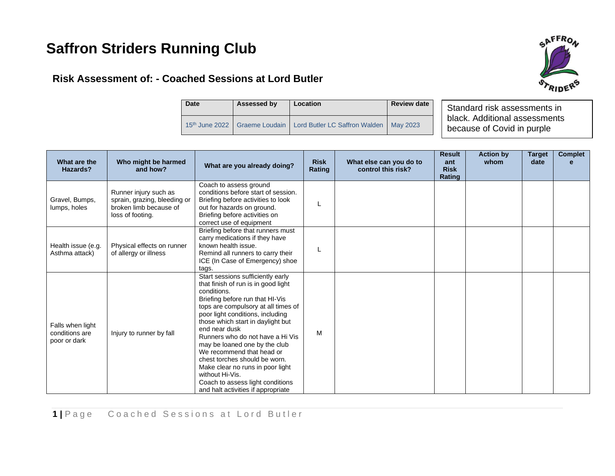# **Saffron Striders Running Club**

## **Risk Assessment of: - Coached Sessions at Lord Butler**



| <b>Date</b> | Assessed by | Location                                                                               | <b>Review date</b> |  |
|-------------|-------------|----------------------------------------------------------------------------------------|--------------------|--|
|             |             | 15 <sup>th</sup> June 2022   Graeme Loudain   Lord Butler LC Saffron Walden   May 2023 |                    |  |

Standard risk assessments in black. Additional assessments because of Covid in purple

| What are the<br>Hazards?                           | Who might be harmed<br>and how?                                                                     | What are you already doing?                                                                                                                                                                                                                                                                                                                                                                                                                                                                                                     | <b>Risk</b><br>Rating | What else can you do to<br>control this risk? | <b>Result</b><br>ant<br><b>Risk</b><br>Rating | <b>Action by</b><br>whom | <b>Target</b><br>date | <b>Complet</b><br>e |
|----------------------------------------------------|-----------------------------------------------------------------------------------------------------|---------------------------------------------------------------------------------------------------------------------------------------------------------------------------------------------------------------------------------------------------------------------------------------------------------------------------------------------------------------------------------------------------------------------------------------------------------------------------------------------------------------------------------|-----------------------|-----------------------------------------------|-----------------------------------------------|--------------------------|-----------------------|---------------------|
| Gravel, Bumps,<br>lumps, holes                     | Runner injury such as<br>sprain, grazing, bleeding or<br>broken limb because of<br>loss of footing. | Coach to assess ground<br>conditions before start of session.<br>Briefing before activities to look<br>out for hazards on ground.<br>Briefing before activities on<br>correct use of equipment                                                                                                                                                                                                                                                                                                                                  | L                     |                                               |                                               |                          |                       |                     |
| Health issue (e.g.<br>Asthma attack)               | Physical effects on runner<br>of allergy or illness                                                 | Briefing before that runners must<br>carry medications if they have<br>known health issue.<br>Remind all runners to carry their<br>ICE (In Case of Emergency) shoe<br>tags.                                                                                                                                                                                                                                                                                                                                                     |                       |                                               |                                               |                          |                       |                     |
| Falls when light<br>conditions are<br>poor or dark | Injury to runner by fall                                                                            | Start sessions sufficiently early<br>that finish of run is in good light<br>conditions.<br>Briefing before run that HI-Vis<br>tops are compulsory at all times of<br>poor light conditions, including<br>those which start in daylight but<br>end near dusk<br>Runners who do not have a Hi Vis<br>may be loaned one by the club<br>We recommend that head or<br>chest torches should be worn.<br>Make clear no runs in poor light<br>without Hi-Vis.<br>Coach to assess light conditions<br>and halt activities if appropriate | M                     |                                               |                                               |                          |                       |                     |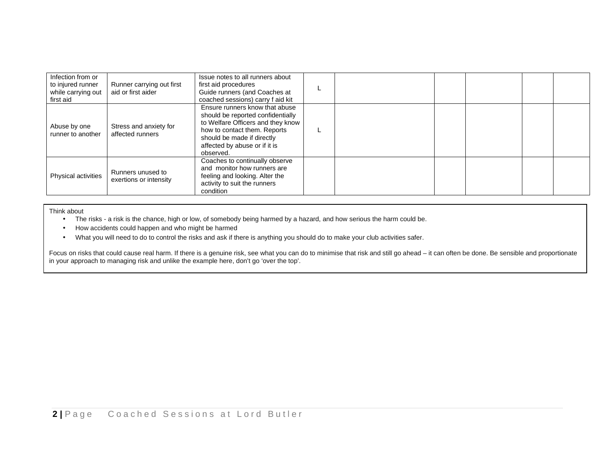| Infection from or<br>to injured runner<br>while carrying out<br>first aid | Runner carrying out first<br>aid or first aider | Issue notes to all runners about<br>first aid procedures<br>Guide runners (and Coaches at<br>coached sessions) carry f aid kit                                                                                       |  |  |  |
|---------------------------------------------------------------------------|-------------------------------------------------|----------------------------------------------------------------------------------------------------------------------------------------------------------------------------------------------------------------------|--|--|--|
| Abuse by one<br>runner to another                                         | Stress and anxiety for<br>affected runners      | Ensure runners know that abuse<br>should be reported confidentially<br>to Welfare Officers and they know<br>how to contact them. Reports<br>should be made if directly<br>affected by abuse or if it is<br>observed. |  |  |  |
| <b>Physical activities</b>                                                | Runners unused to<br>exertions or intensity     | Coaches to continually observe<br>and monitor how runners are<br>feeling and looking. Alter the<br>activity to suit the runners<br>condition                                                                         |  |  |  |

Think about

- The risks a risk is the chance, high or low, of somebody being harmed by a hazard, and how serious the harm could be.
- How accidents could happen and who might be harmed
- What you will need to do to control the risks and ask if there is anything you should do to make your club activities safer.

Focus on risks that could cause real harm. If there is a genuine risk, see what you can do to minimise that risk and still go ahead - it can often be done. Be sensible and proportionate in your approach to managing risk and unlike the example here, don't go 'over the top'.